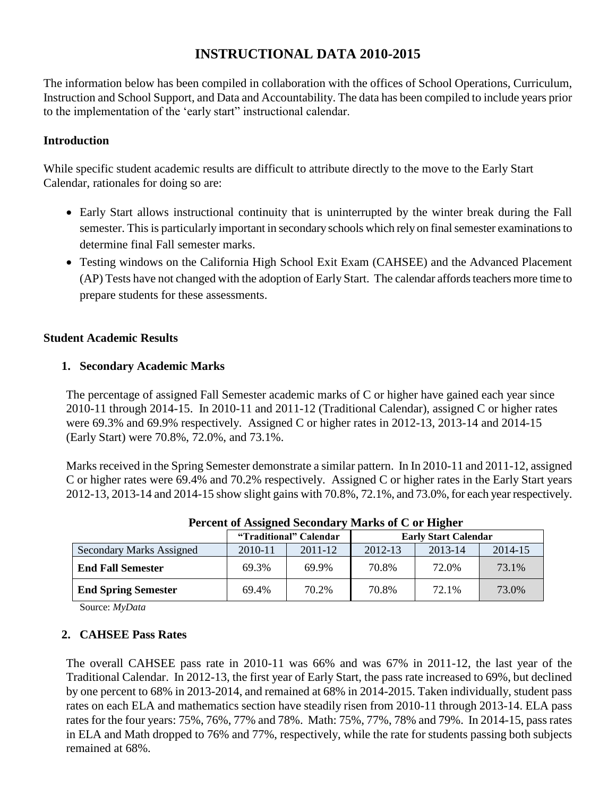# **INSTRUCTIONAL DATA 2010-2015**

The information below has been compiled in collaboration with the offices of School Operations, Curriculum, Instruction and School Support, and Data and Accountability. The data has been compiled to include years prior to the implementation of the 'early start" instructional calendar.

## **Introduction**

While specific student academic results are difficult to attribute directly to the move to the Early Start Calendar, rationales for doing so are:

- Early Start allows instructional continuity that is uninterrupted by the winter break during the Fall semester. This is particularly important in secondary schools which rely on final semester examinations to determine final Fall semester marks.
- Testing windows on the California High School Exit Exam (CAHSEE) and the Advanced Placement (AP) Tests have not changed with the adoption of Early Start. The calendar affords teachers more time to prepare students for these assessments.

## **Student Academic Results**

## **1. Secondary Academic Marks**

The percentage of assigned Fall Semester academic marks of C or higher have gained each year since 2010-11 through 2014-15. In 2010-11 and 2011-12 (Traditional Calendar), assigned C or higher rates were 69.3% and 69.9% respectively. Assigned C or higher rates in 2012-13, 2013-14 and 2014-15 (Early Start) were 70.8%, 72.0%, and 73.1%.

Marks received in the Spring Semester demonstrate a similar pattern. In In 2010-11 and 2011-12, assigned C or higher rates were 69.4% and 70.2% respectively. Assigned C or higher rates in the Early Start years 2012-13, 2013-14 and 2014-15 show slight gains with 70.8%, 72.1%, and 73.0%, for each year respectively.

|                                 | "Traditional" Calendar |         | <b>Early Start Calendar</b> |         |         |
|---------------------------------|------------------------|---------|-----------------------------|---------|---------|
| <b>Secondary Marks Assigned</b> | 2010-11                | 2011-12 | 2012-13                     | 2013-14 | 2014-15 |
| <b>End Fall Semester</b>        | 69.3%                  | 69.9%   | 70.8%                       | 72.0%   | 73.1%   |
| <b>End Spring Semester</b>      | 69.4%                  | 70.2%   | 70.8%                       | 72.1%   | 73.0%   |

**Percent of Assigned Secondary Marks of C or Higher**

Source: *MyData* 

#### **2. CAHSEE Pass Rates**

The overall CAHSEE pass rate in 2010-11 was 66% and was 67% in 2011-12, the last year of the Traditional Calendar. In 2012-13, the first year of Early Start, the pass rate increased to 69%, but declined by one percent to 68% in 2013-2014, and remained at 68% in 2014-2015. Taken individually, student pass rates on each ELA and mathematics section have steadily risen from 2010-11 through 2013-14. ELA pass rates for the four years: 75%, 76%, 77% and 78%. Math: 75%, 77%, 78% and 79%. In 2014-15, pass rates in ELA and Math dropped to 76% and 77%, respectively, while the rate for students passing both subjects remained at 68%.